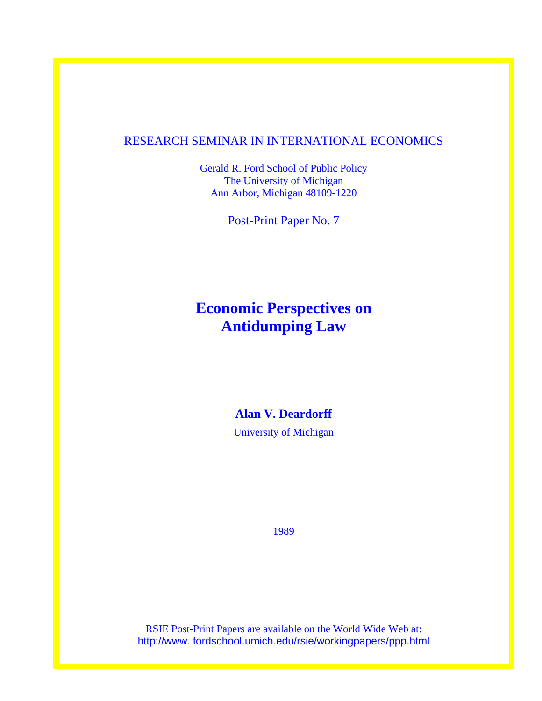## RESEARCH SEMINAR IN INTERNATIONAL ECONOMICS

Gerald R. Ford School of Public Policy The University of Michigan Ann Arbor, Michigan 48109-1220

Post-Print Paper No. 7

# **Economic Perspectives on Antidumping Law**

# **Alan V. Deardorff**

University of Michigan

1989

RSIE Post-Print Papers are available on the World Wide Web at: http://www. fordschool.umich.edu/rsie/workingpapers/ppp.html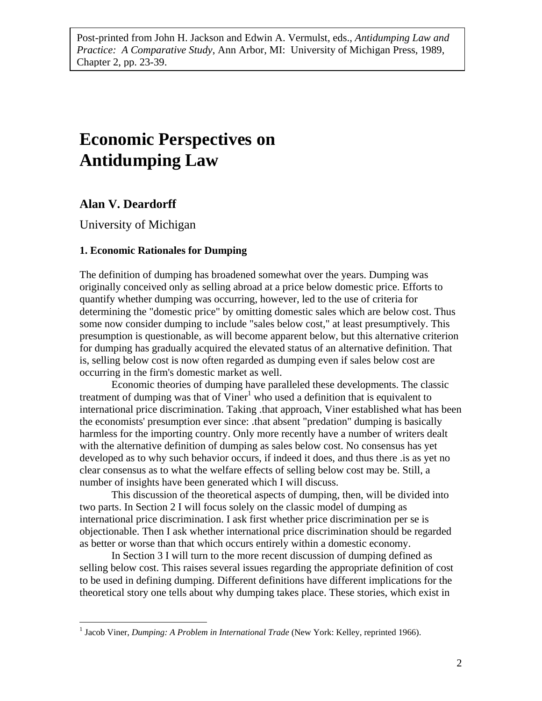Post-printed from John H. Jackson and Edwin A. Vermulst, eds., *Antidumping Law and Practice: A Comparative Study*, Ann Arbor, MI: University of Michigan Press, 1989, Chapter 2, pp. 23-39.

# **Economic Perspectives on Antidumping Law**

## **Alan V. Deardorff**

<u>.</u>

University of Michigan

### **1. Economic Rationales for Dumping**

The definition of dumping has broadened somewhat over the years. Dumping was originally conceived only as selling abroad at a price below domestic price. Efforts to quantify whether dumping was occurring, however, led to the use of criteria for determining the "domestic price" by omitting domestic sales which are below cost. Thus some now consider dumping to include "sales below cost," at least presumptively. This presumption is questionable, as will become apparent below, but this alternative criterion for dumping has gradually acquired the elevated status of an alternative definition. That is, selling below cost is now often regarded as dumping even if sales below cost are occurring in the firm's domestic market as well.

Economic theories of dumping have paralleled these developments. The classic treatment of dumping was that of  $\text{Viner}^1$  who used a definition that is equivalent to international price discrimination. Taking .that approach, Viner established what has been the economists' presumption ever since: .that absent "predation" dumping is basically harmless for the importing country. Only more recently have a number of writers dealt with the alternative definition of dumping as sales below cost. No consensus has yet developed as to why such behavior occurs, if indeed it does, and thus there .is as yet no clear consensus as to what the welfare effects of selling below cost may be. Still, a number of insights have been generated which I will discuss.

This discussion of the theoretical aspects of dumping, then, will be divided into two parts. In Section 2 I will focus solely on the classic model of dumping as international price discrimination. I ask first whether price discrimination per se is objectionable. Then I ask whether international price discrimination should be regarded as better or worse than that which occurs entirely within a domestic economy.

In Section 3 I will turn to the more recent discussion of dumping defined as selling below cost. This raises several issues regarding the appropriate definition of cost to be used in defining dumping. Different definitions have different implications for the theoretical story one tells about why dumping takes place. These stories, which exist in

<span id="page-1-0"></span><sup>&</sup>lt;sup>1</sup> Jacob Viner, *Dumping: A Problem in International Trade* (New York: Kelley, reprinted 1966).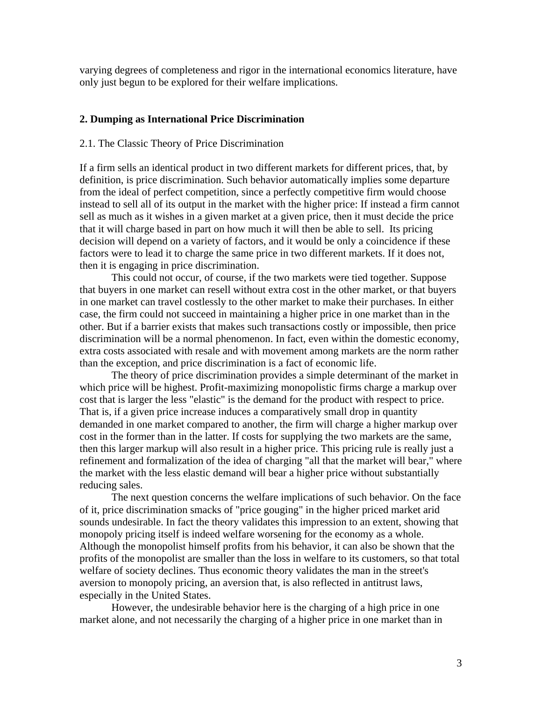varying degrees of completeness and rigor in the international economics literature, have only just begun to be explored for their welfare implications.

### **2. Dumping as International Price Discrimination**

#### 2.1. The Classic Theory of Price Discrimination

If a firm sells an identical product in two different markets for different prices, that, by definition, is price discrimination. Such behavior automatically implies some departure from the ideal of perfect competition, since a perfectly competitive firm would choose instead to sell all of its output in the market with the higher price: If instead a firm cannot sell as much as it wishes in a given market at a given price, then it must decide the price that it will charge based in part on how much it will then be able to sell. Its pricing decision will depend on a variety of factors, and it would be only a coincidence if these factors were to lead it to charge the same price in two different markets. If it does not, then it is engaging in price discrimination.

This could not occur, of course, if the two markets were tied together. Suppose that buyers in one market can resell without extra cost in the other market, or that buyers in one market can travel costlessly to the other market to make their purchases. In either case, the firm could not succeed in maintaining a higher price in one market than in the other. But if a barrier exists that makes such transactions costly or impossible, then price discrimination will be a normal phenomenon. In fact, even within the domestic economy, extra costs associated with resale and with movement among markets are the norm rather than the exception, and price discrimination is a fact of economic life.

The theory of price discrimination provides a simple determinant of the market in which price will be highest. Profit-maximizing monopolistic firms charge a markup over cost that is larger the less "elastic" is the demand for the product with respect to price. That is, if a given price increase induces a comparatively small drop in quantity demanded in one market compared to another, the firm will charge a higher markup over cost in the former than in the latter. If costs for supplying the two markets are the same, then this larger markup will also result in a higher price. This pricing rule is really just a refinement and formalization of the idea of charging "all that the market will bear," where the market with the less elastic demand will bear a higher price without substantially reducing sales.

The next question concerns the welfare implications of such behavior. On the face of it, price discrimination smacks of "price gouging" in the higher priced market arid sounds undesirable. In fact the theory validates this impression to an extent, showing that monopoly pricing itself is indeed welfare worsening for the economy as a whole. Although the monopolist himself profits from his behavior, it can also be shown that the profits of the monopolist are smaller than the loss in welfare to its customers, so that total welfare of society declines. Thus economic theory validates the man in the street's aversion to monopoly pricing, an aversion that, is also reflected in antitrust laws, especially in the United States.

However, the undesirable behavior here is the charging of a high price in one market alone, and not necessarily the charging of a higher price in one market than in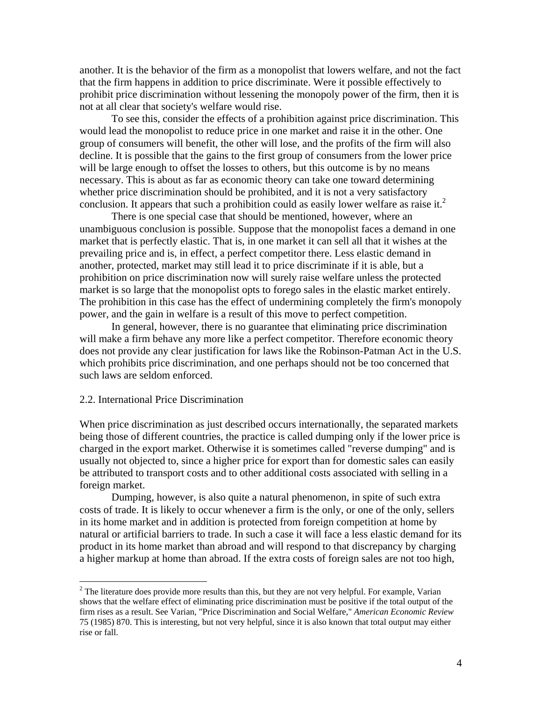another. It is the behavior of the firm as a monopolist that lowers welfare, and not the fact that the firm happens in addition to price discriminate. Were it possible effectively to prohibit price discrimination without lessening the monopoly power of the firm, then it is not at all clear that society's welfare would rise.

To see this, consider the effects of a prohibition against price discrimination. This would lead the monopolist to reduce price in one market and raise it in the other. One group of consumers will benefit, the other will lose, and the profits of the firm will also decline. It is possible that the gains to the first group of consumers from the lower price will be large enough to offset the losses to others, but this outcome is by no means necessary. This is about as far as economic theory can take one toward determining whether price discrimination should be prohibited, and it is not a very satisfactory conclusion. It appears that such a prohibition could as easily lower welfare as raise it.<sup>2</sup>

There is one special case that should be mentioned, however, where an unambiguous conclusion is possible. Suppose that the monopolist faces a demand in one market that is perfectly elastic. That is, in one market it can sell all that it wishes at the prevailing price and is, in effect, a perfect competitor there. Less elastic demand in another, protected, market may still lead it to price discriminate if it is able, but a prohibition on price discrimination now will surely raise welfare unless the protected market is so large that the monopolist opts to forego sales in the elastic market entirely. The prohibition in this case has the effect of undermining completely the firm's monopoly power, and the gain in welfare is a result of this move to perfect competition.

In general, however, there is no guarantee that eliminating price discrimination will make a firm behave any more like a perfect competitor. Therefore economic theory does not provide any clear justification for laws like the Robinson-Patman Act in the U.S. which prohibits price discrimination, and one perhaps should not be too concerned that such laws are seldom enforced.

#### 2.2. International Price Discrimination

 $\overline{a}$ 

When price discrimination as just described occurs internationally, the separated markets being those of different countries, the practice is called dumping only if the lower price is charged in the export market. Otherwise it is sometimes called "reverse dumping" and is usually not objected to, since a higher price for export than for domestic sales can easily be attributed to transport costs and to other additional costs associated with selling in a foreign market.

Dumping, however, is also quite a natural phenomenon, in spite of such extra costs of trade. It is likely to occur whenever a firm is the only, or one of the only, sellers in its home market and in addition is protected from foreign competition at home by natural or artificial barriers to trade. In such a case it will face a less elastic demand for its product in its home market than abroad and will respond to that discrepancy by charging a higher markup at home than abroad. If the extra costs of foreign sales are not too high,

<span id="page-3-0"></span> $2<sup>2</sup>$  The literature does provide more results than this, but they are not very helpful. For example, Varian shows that the welfare effect of eliminating price discrimination must be positive if the total output of the firm rises as a result. See Varian, "Price Discrimination and Social Welfare," *American Economic Review* 75 (1985) 870. This is interesting, but not very helpful, since it is also known that total output may either rise or fall.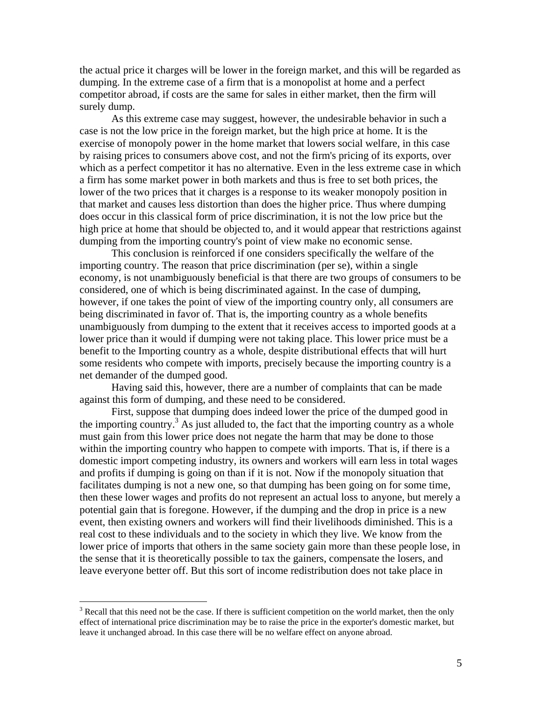the actual price it charges will be lower in the foreign market, and this will be regarded as dumping. In the extreme case of a firm that is a monopolist at home and a perfect competitor abroad, if costs are the same for sales in either market, then the firm will surely dump.

As this extreme case may suggest, however, the undesirable behavior in such a case is not the low price in the foreign market, but the high price at home. It is the exercise of monopoly power in the home market that lowers social welfare, in this case by raising prices to consumers above cost, and not the firm's pricing of its exports, over which as a perfect competitor it has no alternative. Even in the less extreme case in which a firm has some market power in both markets and thus is free to set both prices, the lower of the two prices that it charges is a response to its weaker monopoly position in that market and causes less distortion than does the higher price. Thus where dumping does occur in this classical form of price discrimination, it is not the low price but the high price at home that should be objected to, and it would appear that restrictions against dumping from the importing country's point of view make no economic sense.

This conclusion is reinforced if one considers specifically the welfare of the importing country. The reason that price discrimination (per se), within a single economy, is not unambiguously beneficial is that there are two groups of consumers to be considered, one of which is being discriminated against. In the case of dumping, however, if one takes the point of view of the importing country only, all consumers are being discriminated in favor of. That is, the importing country as a whole benefits unambiguously from dumping to the extent that it receives access to imported goods at a lower price than it would if dumping were not taking place. This lower price must be a benefit to the Importing country as a whole, despite distributional effects that will hurt some residents who compete with imports, precisely because the importing country is a net demander of the dumped good.

Having said this, however, there are a number of complaints that can be made against this form of dumping, and these need to be considered.

First, suppose that dumping does indeed lower the price of the dumped good in the importing country.<sup>[3](#page-4-0)</sup> As just alluded to, the fact that the importing country as a whole must gain from this lower price does not negate the harm that may be done to those within the importing country who happen to compete with imports. That is, if there is a domestic import competing industry, its owners and workers will earn less in total wages and profits if dumping is going on than if it is not. Now if the monopoly situation that facilitates dumping is not a new one, so that dumping has been going on for some time, then these lower wages and profits do not represent an actual loss to anyone, but merely a potential gain that is foregone. However, if the dumping and the drop in price is a new event, then existing owners and workers will find their livelihoods diminished. This is a real cost to these individuals and to the society in which they live. We know from the lower price of imports that others in the same society gain more than these people lose, in the sense that it is theoretically possible to tax the gainers, compensate the losers, and leave everyone better off. But this sort of income redistribution does not take place in

1

<span id="page-4-0"></span> $3$  Recall that this need not be the case. If there is sufficient competition on the world market, then the only effect of international price discrimination may be to raise the price in the exporter's domestic market, but leave it unchanged abroad. In this case there will be no welfare effect on anyone abroad.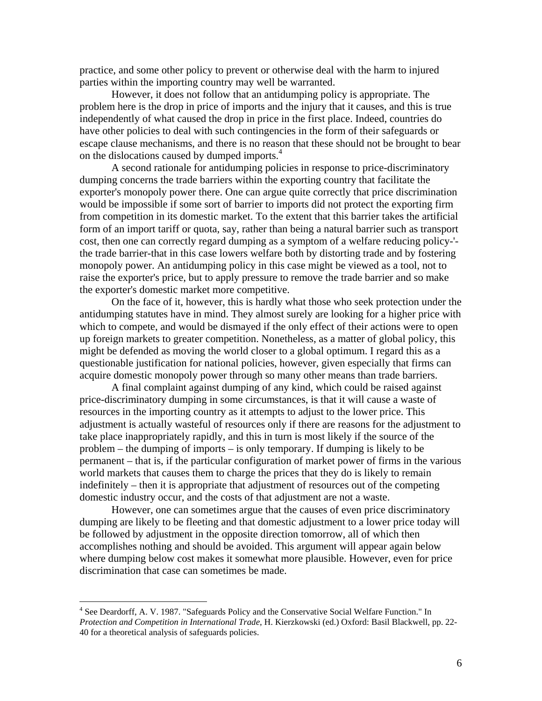practice, and some other policy to prevent or otherwise deal with the harm to injured parties within the importing country may well be warranted.

However, it does not follow that an antidumping policy is appropriate. The problem here is the drop in price of imports and the injury that it causes, and this is true independently of what caused the drop in price in the first place. Indeed, countries do have other policies to deal with such contingencies in the form of their safeguards or escape clause mechanisms, and there is no reason that these should not be brought to bear on the dislocations caused by dumped imports.<sup>[4](#page-5-0)</sup>

A second rationale for antidumping policies in response to price-discriminatory dumping concerns the trade barriers within the exporting country that facilitate the exporter's monopoly power there. One can argue quite correctly that price discrimination would be impossible if some sort of barrier to imports did not protect the exporting firm from competition in its domestic market. To the extent that this barrier takes the artificial form of an import tariff or quota, say, rather than being a natural barrier such as transport cost, then one can correctly regard dumping as a symptom of a welfare reducing policy-' the trade barrier-that in this case lowers welfare both by distorting trade and by fostering monopoly power. An antidumping policy in this case might be viewed as a tool, not to raise the exporter's price, but to apply pressure to remove the trade barrier and so make the exporter's domestic market more competitive.

On the face of it, however, this is hardly what those who seek protection under the antidumping statutes have in mind. They almost surely are looking for a higher price with which to compete, and would be dismayed if the only effect of their actions were to open up foreign markets to greater competition. Nonetheless, as a matter of global policy, this might be defended as moving the world closer to a global optimum. I regard this as a questionable justification for national policies, however, given especially that firms can acquire domestic monopoly power through so many other means than trade barriers.

A final complaint against dumping of any kind, which could be raised against price-discriminatory dumping in some circumstances, is that it will cause a waste of resources in the importing country as it attempts to adjust to the lower price. This adjustment is actually wasteful of resources only if there are reasons for the adjustment to take place inappropriately rapidly, and this in turn is most likely if the source of the problem – the dumping of imports – is only temporary. If dumping is likely to be permanent – that is, if the particular configuration of market power of firms in the various world markets that causes them to charge the prices that they do is likely to remain indefinitely – then it is appropriate that adjustment of resources out of the competing domestic industry occur, and the costs of that adjustment are not a waste.

However, one can sometimes argue that the causes of even price discriminatory dumping are likely to be fleeting and that domestic adjustment to a lower price today will be followed by adjustment in the opposite direction tomorrow, all of which then accomplishes nothing and should be avoided. This argument will appear again below where dumping below cost makes it somewhat more plausible. However, even for price discrimination that case can sometimes be made.

1

<span id="page-5-0"></span><sup>&</sup>lt;sup>4</sup> See Deardorff, A. V. 1987. "Safeguards Policy and the Conservative Social Welfare Function." In *Protection and Competition in International Trade*, H. Kierzkowski (ed.) Oxford: Basil Blackwell, pp. 22- 40 for a theoretical analysis of safeguards policies.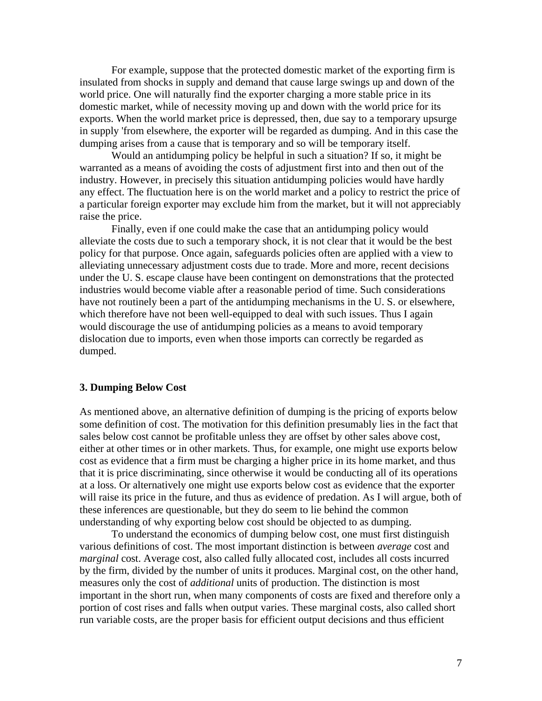For example, suppose that the protected domestic market of the exporting firm is insulated from shocks in supply and demand that cause large swings up and down of the world price. One will naturally find the exporter charging a more stable price in its domestic market, while of necessity moving up and down with the world price for its exports. When the world market price is depressed, then, due say to a temporary upsurge in supply 'from elsewhere, the exporter will be regarded as dumping. And in this case the dumping arises from a cause that is temporary and so will be temporary itself.

Would an antidumping policy be helpful in such a situation? If so, it might be warranted as a means of avoiding the costs of adjustment first into and then out of the industry. However, in precisely this situation antidumping policies would have hardly any effect. The fluctuation here is on the world market and a policy to restrict the price of a particular foreign exporter may exclude him from the market, but it will not appreciably raise the price.

Finally, even if one could make the case that an antidumping policy would alleviate the costs due to such a temporary shock, it is not clear that it would be the best policy for that purpose. Once again, safeguards policies often are applied with a view to alleviating unnecessary adjustment costs due to trade. More and more, recent decisions under the U. S. escape clause have been contingent on demonstrations that the protected industries would become viable after a reasonable period of time. Such considerations have not routinely been a part of the antidumping mechanisms in the U. S. or elsewhere, which therefore have not been well-equipped to deal with such issues. Thus I again would discourage the use of antidumping policies as a means to avoid temporary dislocation due to imports, even when those imports can correctly be regarded as dumped.

#### **3. Dumping Below Cost**

As mentioned above, an alternative definition of dumping is the pricing of exports below some definition of cost. The motivation for this definition presumably lies in the fact that sales below cost cannot be profitable unless they are offset by other sales above cost, either at other times or in other markets. Thus, for example, one might use exports below cost as evidence that a firm must be charging a higher price in its home market, and thus that it is price discriminating, since otherwise it would be conducting all of its operations at a loss. Or alternatively one might use exports below cost as evidence that the exporter will raise its price in the future, and thus as evidence of predation. As I will argue, both of these inferences are questionable, but they do seem to lie behind the common understanding of why exporting below cost should be objected to as dumping.

To understand the economics of dumping below cost, one must first distinguish various definitions of cost. The most important distinction is between *average* cost and *marginal* cost. Average cost, also called fully allocated cost, includes all costs incurred by the firm, divided by the number of units it produces. Marginal cost, on the other hand, measures only the cost of *additional* units of production. The distinction is most important in the short run, when many components of costs are fixed and therefore only a portion of cost rises and falls when output varies. These marginal costs, also called short run variable costs, are the proper basis for efficient output decisions and thus efficient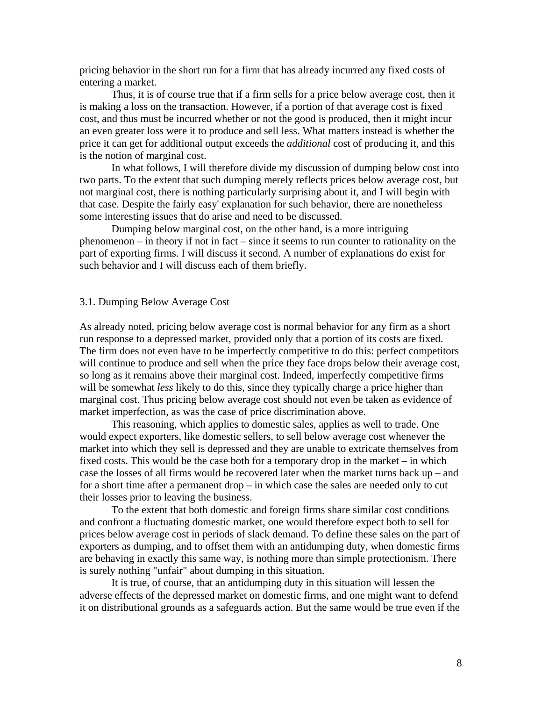pricing behavior in the short run for a firm that has already incurred any fixed costs of entering a market.

Thus, it is of course true that if a firm sells for a price below average cost, then it is making a loss on the transaction. However, if a portion of that average cost is fixed cost, and thus must be incurred whether or not the good is produced, then it might incur an even greater loss were it to produce and sell less. What matters instead is whether the price it can get for additional output exceeds the *additional* cost of producing it, and this is the notion of marginal cost.

In what follows, I will therefore divide my discussion of dumping below cost into two parts. To the extent that such dumping merely reflects prices below average cost, but not marginal cost, there is nothing particularly surprising about it, and I will begin with that case. Despite the fairly easy' explanation for such behavior, there are nonetheless some interesting issues that do arise and need to be discussed.

Dumping below marginal cost, on the other hand, is a more intriguing phenomenon – in theory if not in fact – since it seems to run counter to rationality on the part of exporting firms. I will discuss it second. A number of explanations do exist for such behavior and I will discuss each of them briefly.

#### 3.1. Dumping Below Average Cost

As already noted, pricing below average cost is normal behavior for any firm as a short run response to a depressed market, provided only that a portion of its costs are fixed. The firm does not even have to be imperfectly competitive to do this: perfect competitors will continue to produce and sell when the price they face drops below their average cost, so long as it remains above their marginal cost. Indeed, imperfectly competitive firms will be somewhat *less* likely to do this, since they typically charge a price higher than marginal cost. Thus pricing below average cost should not even be taken as evidence of market imperfection, as was the case of price discrimination above.

This reasoning, which applies to domestic sales, applies as well to trade. One would expect exporters, like domestic sellers, to sell below average cost whenever the market into which they sell is depressed and they are unable to extricate themselves from fixed costs. This would be the case both for a temporary drop in the market – in which case the losses of all firms would be recovered later when the market turns back up – and for a short time after a permanent drop – in which case the sales are needed only to cut their losses prior to leaving the business.

To the extent that both domestic and foreign firms share similar cost conditions and confront a fluctuating domestic market, one would therefore expect both to sell for prices below average cost in periods of slack demand. To define these sales on the part of exporters as dumping, and to offset them with an antidumping duty, when domestic firms are behaving in exactly this same way, is nothing more than simple protectionism. There is surely nothing "unfair" about dumping in this situation.

It is true, of course, that an antidumping duty in this situation will lessen the adverse effects of the depressed market on domestic firms, and one might want to defend it on distributional grounds as a safeguards action. But the same would be true even if the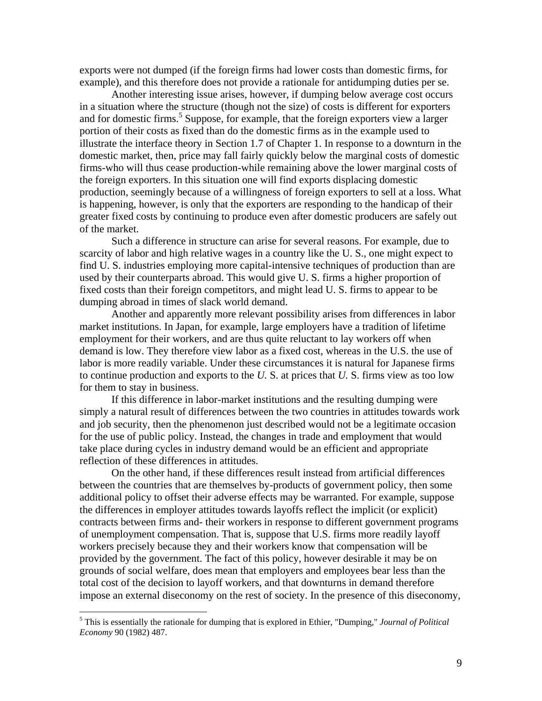exports were not dumped (if the foreign firms had lower costs than domestic firms, for example), and this therefore does not provide a rationale for antidumping duties per se.

Another interesting issue arises, however, if dumping below average cost occurs in a situation where the structure (though not the size) of costs is different for exporters and for domestic firms.<sup>[5](#page-8-0)</sup> Suppose, for example, that the foreign exporters view a larger portion of their costs as fixed than do the domestic firms as in the example used to illustrate the interface theory in Section 1.7 of Chapter 1. In response to a downturn in the domestic market, then, price may fall fairly quickly below the marginal costs of domestic firms-who will thus cease production-while remaining above the lower marginal costs of the foreign exporters. In this situation one will find exports displacing domestic production, seemingly because of a willingness of foreign exporters to sell at a loss. What is happening, however, is only that the exporters are responding to the handicap of their greater fixed costs by continuing to produce even after domestic producers are safely out of the market.

Such a difference in structure can arise for several reasons. For example, due to scarcity of labor and high relative wages in a country like the U. S., one might expect to find U. S. industries employing more capital-intensive techniques of production than are used by their counterparts abroad. This would give U. S. firms a higher proportion of fixed costs than their foreign competitors, and might lead U. S. firms to appear to be dumping abroad in times of slack world demand.

Another and apparently more relevant possibility arises from differences in labor market institutions. In Japan, for example, large employers have a tradition of lifetime employment for their workers, and are thus quite reluctant to lay workers off when demand is low. They therefore view labor as a fixed cost, whereas in the U*.*S. the use of labor is more readily variable. Under these circumstances it is natural for Japanese firms to continue production and exports to the *U.* S. at prices that *U.* S. firms view as too low for them to stay in business.

If this difference in labor-market institutions and the resulting dumping were simply a natural result of differences between the two countries in attitudes towards work and job security, then the phenomenon just described would not be a legitimate occasion for the use of public policy. Instead, the changes in trade and employment that would take place during cycles in industry demand would be an efficient and appropriate reflection of these differences in attitudes.

On the other hand, if these differences result instead from artificial differences between the countries that are themselves by-products of government policy, then some additional policy to offset their adverse effects may be warranted. For example, suppose the differences in employer attitudes towards layoffs reflect the implicit (or explicit) contracts between firms and- their workers in response to different government programs of unemployment compensation. That is, suppose that U.S. firms more readily layoff workers precisely because they and their workers know that compensation will be provided by the government. The fact of this policy, however desirable it may be on grounds of social welfare, does mean that employers and employees bear less than the total cost of the decision to layoff workers, and that downturns in demand therefore impose an external diseconomy on the rest of society. In the presence of this diseconomy,

 $\overline{a}$ 

<span id="page-8-0"></span><sup>5</sup> This is essentially the rationale for dumping that is explored in Ethier, "Dumping," *Journal of Political Economy* 90 (1982) 487.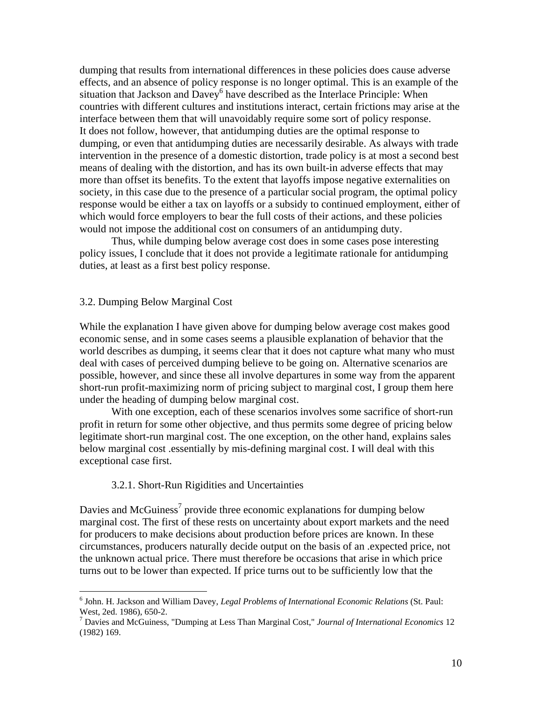dumping that results from international differences in these policies does cause adverse effects, and an absence of policy response is no longer optimal. This is an example of the situation that Jackson and  $\overline{D}$ avey<sup>[6](#page-9-0)</sup> have described as the Interlace Principle: When countries with different cultures and institutions interact, certain frictions may arise at the interface between them that will unavoidably require some sort of policy response. It does not follow, however, that antidumping duties are the optimal response to dumping, or even that antidumping duties are necessarily desirable. As always with trade intervention in the presence of a domestic distortion, trade policy is at most a second best means of dealing with the distortion, and has its own built-in adverse effects that may more than offset its benefits. To the extent that layoffs impose negative externalities on society, in this case due to the presence of a particular social program, the optimal policy response would be either a tax on layoffs or a subsidy to continued employment, either of which would force employers to bear the full costs of their actions, and these policies would not impose the additional cost on consumers of an antidumping duty.

Thus, while dumping below average cost does in some cases pose interesting policy issues, I conclude that it does not provide a legitimate rationale for antidumping duties, at least as a first best policy response.

#### 3.2. Dumping Below Marginal Cost

<u>.</u>

While the explanation I have given above for dumping below average cost makes good economic sense, and in some cases seems a plausible explanation of behavior that the world describes as dumping, it seems clear that it does not capture what many who must deal with cases of perceived dumping believe to be going on. Alternative scenarios are possible, however, and since these all involve departures in some way from the apparent short-run profit-maximizing norm of pricing subject to marginal cost, I group them here under the heading of dumping below marginal cost.

With one exception, each of these scenarios involves some sacrifice of short-run profit in return for some other objective, and thus permits some degree of pricing below legitimate short-run marginal cost. The one exception, on the other hand, explains sales below marginal cost .essentially by mis-defining marginal cost. I will deal with this exceptional case first.

#### 3.2.1. Short-Run Rigidities and Uncertainties

Davies and McGuiness<sup>[7](#page-9-1)</sup> provide three economic explanations for dumping below marginal cost. The first of these rests on uncertainty about export markets and the need for producers to make decisions about production before prices are known. In these circumstances, producers naturally decide output on the basis of an .expected price, not the unknown actual price. There must therefore be occasions that arise in which price turns out to be lower than expected. If price turns out to be sufficiently low that the

<span id="page-9-0"></span><sup>6</sup> John. H. Jackson and William Davey, *Legal Problems of International Economic Relations* (St. Paul: West, 2ed. 1986), 650-2. 7

<span id="page-9-1"></span>Davies and McGuiness, "Dumping at Less Than Marginal Cost," *Journal of International Economics* 12 (1982) 169.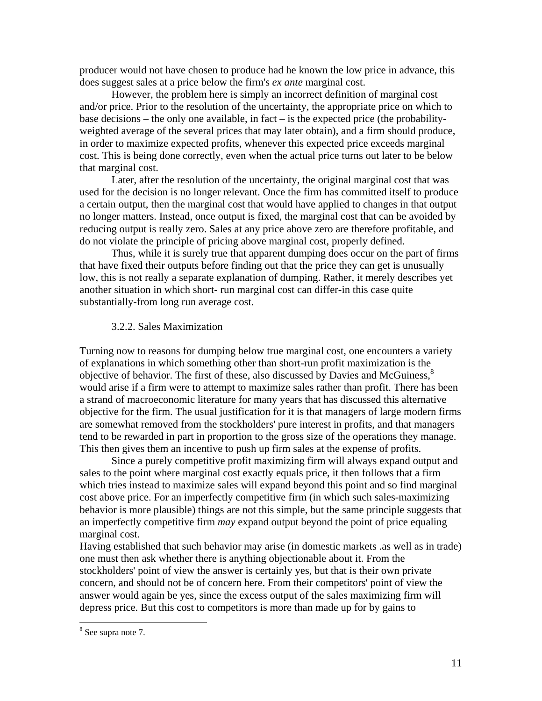producer would not have chosen to produce had he known the low price in advance, this does suggest sales at a price below the firm's *ex ante* marginal cost.

However, the problem here is simply an incorrect definition of marginal cost and/or price. Prior to the resolution of the uncertainty, the appropriate price on which to base decisions – the only one available, in fact – is the expected price (the probabilityweighted average of the several prices that may later obtain), and a firm should produce, in order to maximize expected profits, whenever this expected price exceeds marginal cost. This is being done correctly, even when the actual price turns out later to be below that marginal cost.

Later, after the resolution of the uncertainty, the original marginal cost that was used for the decision is no longer relevant. Once the firm has committed itself to produce a certain output, then the marginal cost that would have applied to changes in that output no longer matters. Instead, once output is fixed, the marginal cost that can be avoided by reducing output is really zero. Sales at any price above zero are therefore profitable, and do not violate the principle of pricing above marginal cost, properly defined.

Thus, while it is surely true that apparent dumping does occur on the part of firms that have fixed their outputs before finding out that the price they can get is unusually low, this is not really a separate explanation of dumping. Rather, it merely describes yet another situation in which short- run marginal cost can differ-in this case quite substantially-from long run average cost.

#### 3.2.2. Sales Maximization

Turning now to reasons for dumping below true marginal cost, one encounters a variety of explanations in which something other than short-run profit maximization is the objective of behavior. The first of these, also discussed by Davies and McGuiness,<sup>8</sup> would arise if a firm were to attempt to maximize sales rather than profit. There has been a strand of macroeconomic literature for many years that has discussed this alternative objective for the firm. The usual justification for it is that managers of large modern firms are somewhat removed from the stockholders' pure interest in profits, and that managers tend to be rewarded in part in proportion to the gross size of the operations they manage. This then gives them an incentive to push up firm sales at the expense of profits.

Since a purely competitive profit maximizing firm will always expand output and sales to the point where marginal cost exactly equals price, it then follows that a firm which tries instead to maximize sales will expand beyond this point and so find marginal cost above price. For an imperfectly competitive firm (in which such sales-maximizing behavior is more plausible) things are not this simple, but the same principle suggests that an imperfectly competitive firm *may* expand output beyond the point of price equaling marginal cost.

Having established that such behavior may arise (in domestic markets .as well as in trade) one must then ask whether there is anything objectionable about it. From the stockholders' point of view the answer is certainly yes, but that is their own private concern, and should not be of concern here. From their competitors' point of view the answer would again be yes, since the excess output of the sales maximizing firm will depress price. But this cost to competitors is more than made up for by gains to

<u>.</u>

<span id="page-10-0"></span><sup>&</sup>lt;sup>8</sup> See supra note 7.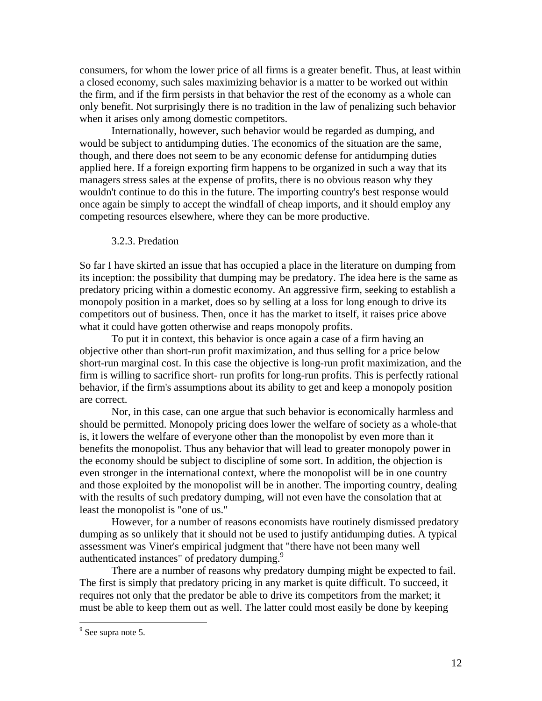consumers, for whom the lower price of all firms is a greater benefit. Thus, at least within a closed economy, such sales maximizing behavior is a matter to be worked out within the firm, and if the firm persists in that behavior the rest of the economy as a whole can only benefit. Not surprisingly there is no tradition in the law of penalizing such behavior when it arises only among domestic competitors.

Internationally, however, such behavior would be regarded as dumping, and would be subject to antidumping duties. The economics of the situation are the same, though, and there does not seem to be any economic defense for antidumping duties applied here. If a foreign exporting firm happens to be organized in such a way that its managers stress sales at the expense of profits, there is no obvious reason why they wouldn't continue to do this in the future. The importing country's best response would once again be simply to accept the windfall of cheap imports, and it should employ any competing resources elsewhere, where they can be more productive.

#### 3.2.3. Predation

So far I have skirted an issue that has occupied a place in the literature on dumping from its inception: the possibility that dumping may be predatory. The idea here is the same as predatory pricing within a domestic economy. An aggressive firm, seeking to establish a monopoly position in a market, does so by selling at a loss for long enough to drive its competitors out of business. Then, once it has the market to itself, it raises price above what it could have gotten otherwise and reaps monopoly profits.

To put it in context, this behavior is once again a case of a firm having an objective other than short-run profit maximization, and thus selling for a price below short-run marginal cost. In this case the objective is long-run profit maximization, and the firm is willing to sacrifice short- run profits for long-run profits. This is perfectly rational behavior, if the firm's assumptions about its ability to get and keep a monopoly position are correct.

Nor, in this case, can one argue that such behavior is economically harmless and should be permitted. Monopoly pricing does lower the welfare of society as a whole-that is, it lowers the welfare of everyone other than the monopolist by even more than it benefits the monopolist. Thus any behavior that will lead to greater monopoly power in the economy should be subject to discipline of some sort. In addition, the objection is even stronger in the international context, where the monopolist will be in one country and those exploited by the monopolist will be in another. The importing country, dealing with the results of such predatory dumping, will not even have the consolation that at least the monopolist is "one of us."

However, for a number of reasons economists have routinely dismissed predatory dumping as so unlikely that it should not be used to justify antidumping duties. A typical assessment was Viner's empirical judgment that "there have not been many well authenticated instances" of predatory dumping.<sup>[9](#page-11-0)</sup>

There are a number of reasons why predatory dumping might be expected to fail. The first is simply that predatory pricing in any market is quite difficult. To succeed, it requires not only that the predator be able to drive its competitors from the market; it must be able to keep them out as well. The latter could most easily be done by keeping

 $\overline{a}$ 

<span id="page-11-0"></span><sup>&</sup>lt;sup>9</sup> See supra note 5.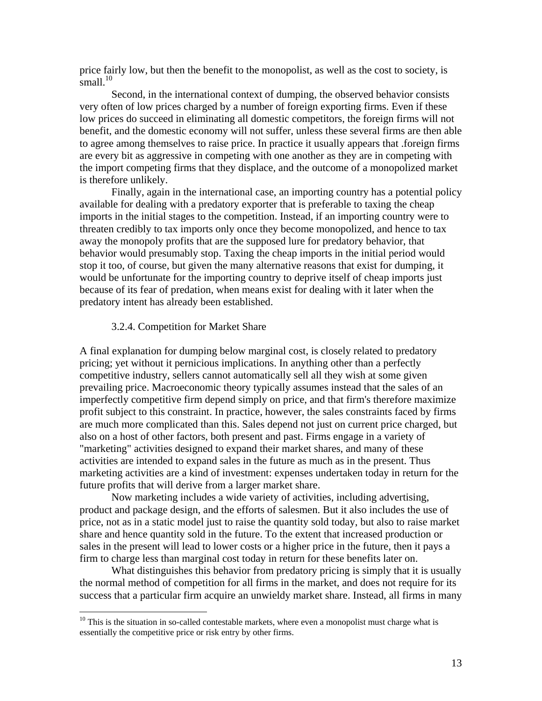price fairly low, but then the benefit to the monopolist, as well as the cost to society, is small. $10$ 

Second, in the international context of dumping, the observed behavior consists very often of low prices charged by a number of foreign exporting firms. Even if these low prices do succeed in eliminating all domestic competitors, the foreign firms will not benefit, and the domestic economy will not suffer, unless these several firms are then able to agree among themselves to raise price. In practice it usually appears that .foreign firms are every bit as aggressive in competing with one another as they are in competing with the import competing firms that they displace, and the outcome of a monopolized market is therefore unlikely.

Finally, again in the international case, an importing country has a potential policy available for dealing with a predatory exporter that is preferable to taxing the cheap imports in the initial stages to the competition. Instead, if an importing country were to threaten credibly to tax imports only once they become monopolized, and hence to tax away the monopoly profits that are the supposed lure for predatory behavior, that behavior would presumably stop. Taxing the cheap imports in the initial period would stop it too, of course, but given the many alternative reasons that exist for dumping, it would be unfortunate for the importing country to deprive itself of cheap imports just because of its fear of predation, when means exist for dealing with it later when the predatory intent has already been established.

#### 3.2.4. Competition for Market Share

1

A final explanation for dumping below marginal cost, is closely related to predatory pricing; yet without it pernicious implications. In anything other than a perfectly competitive industry, sellers cannot automatically sell all they wish at some given prevailing price. Macroeconomic theory typically assumes instead that the sales of an imperfectly competitive firm depend simply on price, and that firm's therefore maximize profit subject to this constraint. In practice, however, the sales constraints faced by firms are much more complicated than this. Sales depend not just on current price charged, but also on a host of other factors, both present and past. Firms engage in a variety of "marketing" activities designed to expand their market shares, and many of these activities are intended to expand sales in the future as much as in the present. Thus marketing activities are a kind of investment: expenses undertaken today in return for the future profits that will derive from a larger market share.

Now marketing includes a wide variety of activities, including advertising, product and package design, and the efforts of salesmen. But it also includes the use of price, not as in a static model just to raise the quantity sold today, but also to raise market share and hence quantity sold in the future. To the extent that increased production or sales in the present will lead to lower costs or a higher price in the future, then it pays a firm to charge less than marginal cost today in return for these benefits later on.

What distinguishes this behavior from predatory pricing is simply that it is usually the normal method of competition for all firms in the market, and does not require for its success that a particular firm acquire an unwieldy market share. Instead, all firms in many

<span id="page-12-0"></span> $10$  This is the situation in so-called contestable markets, where even a monopolist must charge what is essentially the competitive price or risk entry by other firms.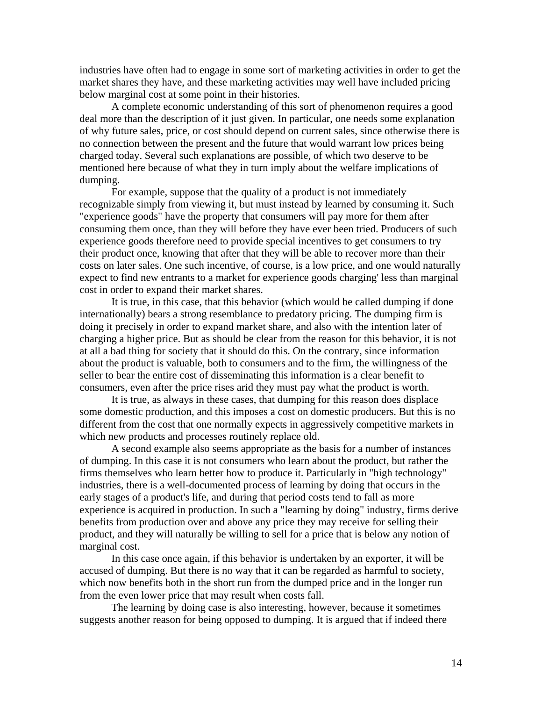industries have often had to engage in some sort of marketing activities in order to get the market shares they have, and these marketing activities may well have included pricing below marginal cost at some point in their histories.

A complete economic understanding of this sort of phenomenon requires a good deal more than the description of it just given. In particular, one needs some explanation of why future sales, price, or cost should depend on current sales, since otherwise there is no connection between the present and the future that would warrant low prices being charged today. Several such explanations are possible, of which two deserve to be mentioned here because of what they in turn imply about the welfare implications of dumping.

For example, suppose that the quality of a product is not immediately recognizable simply from viewing it, but must instead by learned by consuming it. Such "experience goods" have the property that consumers will pay more for them after consuming them once, than they will before they have ever been tried. Producers of such experience goods therefore need to provide special incentives to get consumers to try their product once, knowing that after that they will be able to recover more than their costs on later sales. One such incentive, of course, is a low price, and one would naturally expect to find new entrants to a market for experience goods charging' less than marginal cost in order to expand their market shares.

It is true, in this case, that this behavior (which would be called dumping if done internationally) bears a strong resemblance to predatory pricing. The dumping firm is doing it precisely in order to expand market share, and also with the intention later of charging a higher price. But as should be clear from the reason for this behavior, it is not at all a bad thing for society that it should do this. On the contrary, since information about the product is valuable, both to consumers and to the firm, the willingness of the seller to bear the entire cost of disseminating this information is a clear benefit to consumers, even after the price rises arid they must pay what the product is worth.

It is true, as always in these cases, that dumping for this reason does displace some domestic production, and this imposes a cost on domestic producers. But this is no different from the cost that one normally expects in aggressively competitive markets in which new products and processes routinely replace old.

A second example also seems appropriate as the basis for a number of instances of dumping. In this case it is not consumers who learn about the product, but rather the firms themselves who learn better how to produce it. Particularly in "high technology" industries, there is a well-documented process of learning by doing that occurs in the early stages of a product's life, and during that period costs tend to fall as more experience is acquired in production. In such a "learning by doing" industry, firms derive benefits from production over and above any price they may receive for selling their product, and they will naturally be willing to sell for a price that is below any notion of marginal cost.

In this case once again, if this behavior is undertaken by an exporter, it will be accused of dumping. But there is no way that it can be regarded as harmful to society, which now benefits both in the short run from the dumped price and in the longer run from the even lower price that may result when costs fall.

The learning by doing case is also interesting, however, because it sometimes suggests another reason for being opposed to dumping. It is argued that if indeed there